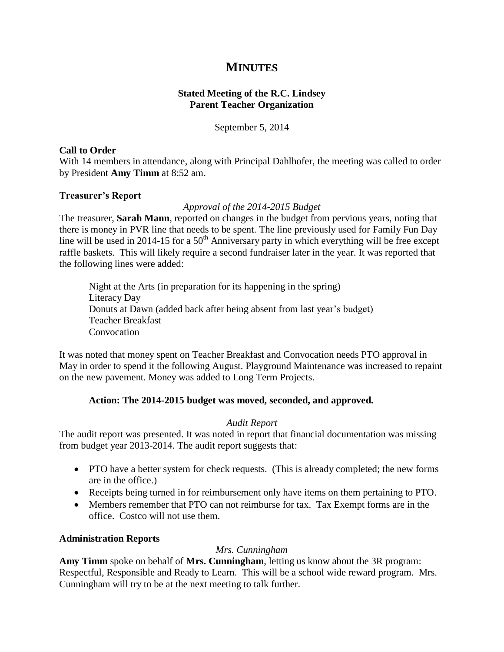# **MINUTES**

# **Stated Meeting of the R.C. Lindsey Parent Teacher Organization**

September 5, 2014

# **Call to Order**

With 14 members in attendance, along with Principal Dahlhofer, the meeting was called to order by President **Amy Timm** at 8:52 am.

# **Treasurer's Report**

# *Approval of the 2014-2015 Budget*

The treasurer, **Sarah Mann**, reported on changes in the budget from pervious years, noting that there is money in PVR line that needs to be spent. The line previously used for Family Fun Day line will be used in 2014-15 for a  $50<sup>th</sup>$  Anniversary party in which everything will be free except raffle baskets. This will likely require a second fundraiser later in the year. It was reported that the following lines were added:

Night at the Arts (in preparation for its happening in the spring) Literacy Day Donuts at Dawn (added back after being absent from last year's budget) Teacher Breakfast **Convocation** 

It was noted that money spent on Teacher Breakfast and Convocation needs PTO approval in May in order to spend it the following August. Playground Maintenance was increased to repaint on the new pavement. Money was added to Long Term Projects.

# **Action: The 2014-2015 budget was moved, seconded, and approved.**

### *Audit Report*

The audit report was presented. It was noted in report that financial documentation was missing from budget year 2013-2014. The audit report suggests that:

- PTO have a better system for check requests. (This is already completed; the new forms are in the office.)
- Receipts being turned in for reimbursement only have items on them pertaining to PTO.
- Members remember that PTO can not reimburse for tax. Tax Exempt forms are in the office. Costco will not use them.

# **Administration Reports**

# *Mrs. Cunningham*

**Amy Timm** spoke on behalf of **Mrs. Cunningham**, letting us know about the 3R program: Respectful, Responsible and Ready to Learn. This will be a school wide reward program. Mrs. Cunningham will try to be at the next meeting to talk further.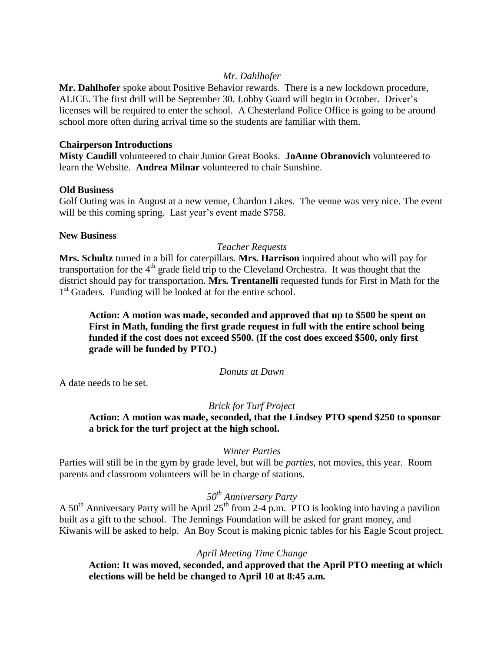# *Mr. Dahlhofer*

**Mr. Dahlhofer** spoke about Positive Behavior rewards. There is a new lockdown procedure, ALICE. The first drill will be September 30. Lobby Guard will begin in October. Driver's licenses will be required to enter the school. A Chesterland Police Office is going to be around school more often during arrival time so the students are familiar with them.

#### **Chairperson Introductions**

**Misty Caudill** volunteered to chair Junior Great Books. **JoAnne Obranovich** volunteered to learn the Website. **Andrea Milnar** volunteered to chair Sunshine.

#### **Old Business**

Golf Outing was in August at a new venue, Chardon Lakes. The venue was very nice. The event will be this coming spring. Last year's event made \$758.

#### **New Business**

#### *Teacher Requests*

**Mrs. Schultz** turned in a bill for caterpillars. **Mrs. Harrison** inquired about who will pay for transportation for the  $4<sup>th</sup>$  grade field trip to the Cleveland Orchestra. It was thought that the district should pay for transportation. **Mrs. Trentanelli** requested funds for First in Math for the 1<sup>st</sup> Graders. Funding will be looked at for the entire school.

**Action: A motion was made, seconded and approved that up to \$500 be spent on First in Math, funding the first grade request in full with the entire school being funded if the cost does not exceed \$500. (If the cost does exceed \$500, only first grade will be funded by PTO.)**

# *Donuts at Dawn*

A date needs to be set.

### *Brick for Turf Project*

**Action: A motion was made, seconded, that the Lindsey PTO spend \$250 to sponsor a brick for the turf project at the high school.**

### *Winter Parties*

Parties will still be in the gym by grade level, but will be *parties*, not movies, this year. Room parents and classroom volunteers will be in charge of stations.

# *50th Anniversary Party*

A  $50<sup>th</sup>$  Anniversary Party will be April  $25<sup>th</sup>$  from 2-4 p.m. PTO is looking into having a pavilion built as a gift to the school. The Jennings Foundation will be asked for grant money, and Kiwanis will be asked to help. An Boy Scout is making picnic tables for his Eagle Scout project.

# *April Meeting Time Change*

**Action: It was moved, seconded, and approved that the April PTO meeting at which elections will be held be changed to April 10 at 8:45 a.m.**